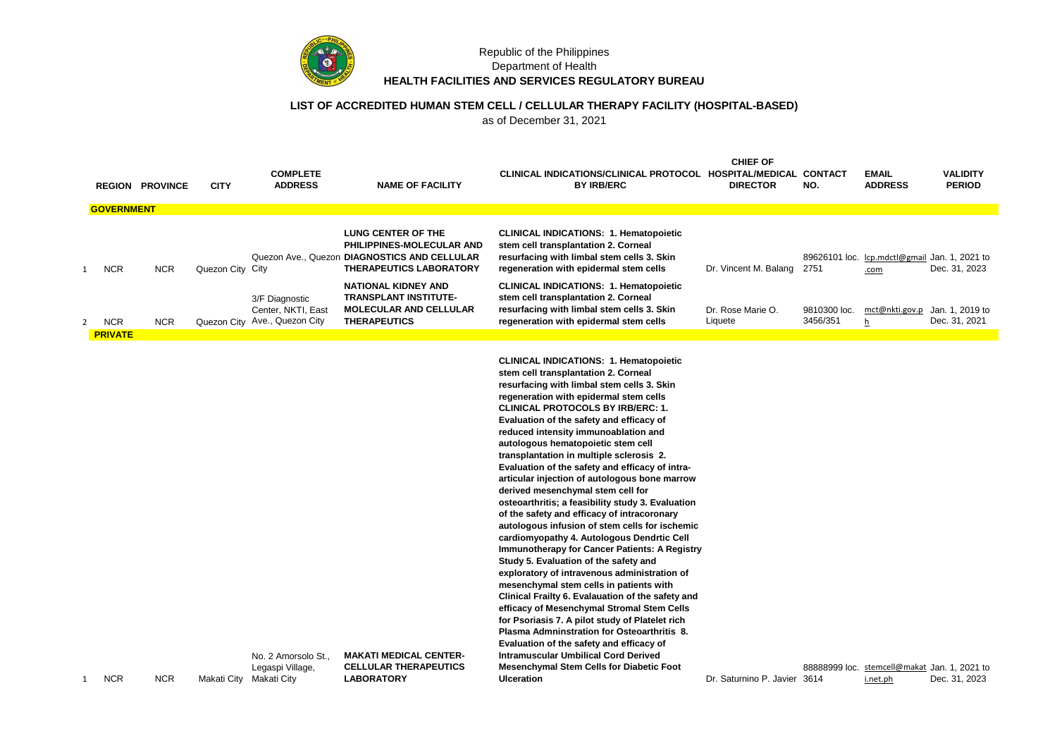

#### Republic of the Philippines Department of Health **HEALTH FACILITIES AND SERVICES REGULATORY BUREAU**

## **LIST OF ACCREDITED HUMAN STEM CELL / CELLULAR THERAPY FACILITY (HOSPITAL-BASED)**

as of December 31, 2021

|   |                   | <b>REGION PROVINCE</b> | <b>CITY</b>      | <b>COMPLETE</b><br><b>ADDRESS</b>                                     | <b>NAME OF FACILITY</b>                                                                                                                  | CLINICAL INDICATIONS/CLINICAL PROTOCOL HOSPITAL/MEDICAL CONTACT<br><b>BY IRB/ERC</b>                                                                                                                                                                                                                                                                                                                                                                                                                                                                                                                                                                                                                                                                                                                                                                                                                                                                                                                                                                                                                                                                                                      | <b>CHIEF OF</b><br><b>DIRECTOR</b> | NO.                      | <b>EMAIL</b><br><b>ADDRESS</b>                        | <b>VALIDITY</b><br><b>PERIOD</b> |
|---|-------------------|------------------------|------------------|-----------------------------------------------------------------------|------------------------------------------------------------------------------------------------------------------------------------------|-------------------------------------------------------------------------------------------------------------------------------------------------------------------------------------------------------------------------------------------------------------------------------------------------------------------------------------------------------------------------------------------------------------------------------------------------------------------------------------------------------------------------------------------------------------------------------------------------------------------------------------------------------------------------------------------------------------------------------------------------------------------------------------------------------------------------------------------------------------------------------------------------------------------------------------------------------------------------------------------------------------------------------------------------------------------------------------------------------------------------------------------------------------------------------------------|------------------------------------|--------------------------|-------------------------------------------------------|----------------------------------|
|   | <b>GOVERNMENT</b> |                        |                  |                                                                       |                                                                                                                                          |                                                                                                                                                                                                                                                                                                                                                                                                                                                                                                                                                                                                                                                                                                                                                                                                                                                                                                                                                                                                                                                                                                                                                                                           |                                    |                          |                                                       |                                  |
| 1 | <b>NCR</b>        | <b>NCR</b>             | Quezon City City |                                                                       | <b>LUNG CENTER OF THE</b><br>PHILIPPINES-MOLECULAR AND<br>Quezon Ave., Quezon DIAGNOSTICS AND CELLULAR<br><b>THERAPEUTICS LABORATORY</b> | <b>CLINICAL INDICATIONS: 1. Hematopoietic</b><br>stem cell transplantation 2. Corneal<br>resurfacing with limbal stem cells 3. Skin<br>regeneration with epidermal stem cells                                                                                                                                                                                                                                                                                                                                                                                                                                                                                                                                                                                                                                                                                                                                                                                                                                                                                                                                                                                                             | Dr. Vincent M. Balang 2751         |                          | 89626101 loc. Icp.mdctl@gmail Jan. 1, 2021 to<br>.com | Dec. 31, 2023                    |
| 2 | <b>NCR</b>        | <b>NCR</b>             |                  | 3/F Diagnostic<br>Center, NKTI, East<br>Quezon City Ave., Quezon City | <b>NATIONAL KIDNEY AND</b><br><b>TRANSPLANT INSTITUTE-</b><br><b>MOLECULAR AND CELLULAR</b><br><b>THERAPEUTICS</b>                       | <b>CLINICAL INDICATIONS: 1. Hematopoietic</b><br>stem cell transplantation 2. Corneal<br>resurfacing with limbal stem cells 3. Skin<br>regeneration with epidermal stem cells                                                                                                                                                                                                                                                                                                                                                                                                                                                                                                                                                                                                                                                                                                                                                                                                                                                                                                                                                                                                             | Dr. Rose Marie O.<br>Liquete       | 9810300 loc.<br>3456/351 | mct@nkti.gov.p<br>h                                   | Jan. 1, 2019 to<br>Dec. 31, 2021 |
|   | <b>PRIVATE</b>    |                        |                  |                                                                       |                                                                                                                                          |                                                                                                                                                                                                                                                                                                                                                                                                                                                                                                                                                                                                                                                                                                                                                                                                                                                                                                                                                                                                                                                                                                                                                                                           |                                    |                          |                                                       |                                  |
|   |                   |                        |                  |                                                                       |                                                                                                                                          | <b>CLINICAL INDICATIONS: 1. Hematopoietic</b><br>stem cell transplantation 2. Corneal<br>resurfacing with limbal stem cells 3. Skin<br>regeneration with epidermal stem cells<br><b>CLINICAL PROTOCOLS BY IRB/ERC: 1.</b><br>Evaluation of the safety and efficacy of<br>reduced intensity immunoablation and<br>autologous hematopoietic stem cell<br>transplantation in multiple sclerosis 2.<br>Evaluation of the safety and efficacy of intra-<br>articular injection of autologous bone marrow<br>derived mesenchymal stem cell for<br>osteoarthritis; a feasibility study 3. Evaluation<br>of the safety and efficacy of intracoronary<br>autologous infusion of stem cells for ischemic<br>cardiomyopathy 4. Autologous Dendrtic Cell<br><b>Immunotherapy for Cancer Patients: A Registry</b><br>Study 5. Evaluation of the safety and<br>exploratory of intravenous administration of<br>mesenchymal stem cells in patients with<br>Clinical Frailty 6. Evalauation of the safety and<br>efficacy of Mesenchymal Stromal Stem Cells<br>for Psoriasis 7. A pilot study of Platelet rich<br>Plasma Admninstration for Osteoarthritis 8.<br>Evaluation of the safety and efficacy of |                                    |                          |                                                       |                                  |
| 1 | <b>NCR</b>        | <b>NCR</b>             |                  | No. 2 Amorsolo St.,<br>Legaspi Village,<br>Makati City Makati City    | <b>MAKATI MEDICAL CENTER-</b><br><b>CELLULAR THERAPEUTICS</b><br><b>LABORATORY</b>                                                       | <b>Intramuscular Umbilical Cord Derived</b><br><b>Mesenchymal Stem Cells for Diabetic Foot</b><br><b>Ulceration</b>                                                                                                                                                                                                                                                                                                                                                                                                                                                                                                                                                                                                                                                                                                                                                                                                                                                                                                                                                                                                                                                                       | Dr. Saturnino P. Javier 3614       | 88888999 loc.            | stemcell@makat Jan. 1, 2021 to<br>i.net.ph            | Dec. 31, 2023                    |